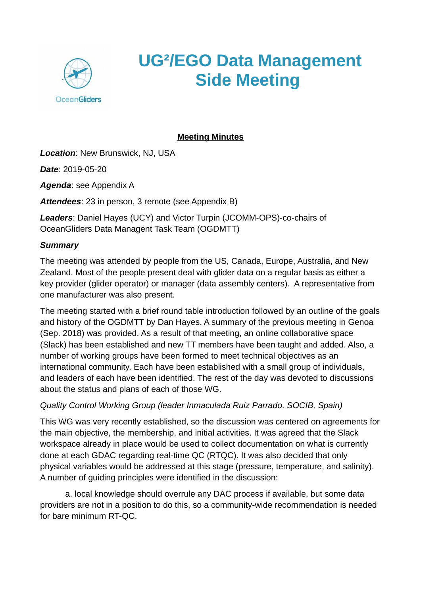

## **UG²/EGO Data Management Side Meeting**

## **Meeting Minutes**

*Location*: New Brunswick, NJ, USA

*Date*: 2019-05-20

*Agenda*: see Appendix A

*Attendees*: 23 in person, 3 remote (see Appendix B)

*Leaders*: Daniel Hayes (UCY) and Victor Turpin (JCOMM-OPS)-co-chairs of OceanGliders Data Managent Task Team (OGDMTT)

#### *Summary*

The meeting was attended by people from the US, Canada, Europe, Australia, and New Zealand. Most of the people present deal with glider data on a regular basis as either a key provider (glider operator) or manager (data assembly centers). A representative from one manufacturer was also present.

The meeting started with a brief round table introduction followed by an outline of the goals and history of the OGDMTT by Dan Hayes. A summary of the previous meeting in Genoa (Sep. 2018) was provided. As a result of that meeting, an online collaborative space (Slack) has been established and new TT members have been taught and added. Also, a number of working groups have been formed to meet technical objectives as an international community. Each have been established with a small group of individuals, and leaders of each have been identified. The rest of the day was devoted to discussions about the status and plans of each of those WG.

## *Quality Control Working Group (leader Inmaculada Ruiz Parrado, SOCIB, Spain)*

This WG was very recently established, so the discussion was centered on agreements for the main objective, the membership, and initial activities. It was agreed that the Slack workspace already in place would be used to collect documentation on what is currently done at each GDAC regarding real-time QC (RTQC). It was also decided that only physical variables would be addressed at this stage (pressure, temperature, and salinity). A number of guiding principles were identified in the discussion:

a. local knowledge should overrule any DAC process if available, but some data providers are not in a position to do this, so a community-wide recommendation is needed for bare minimum RT-QC.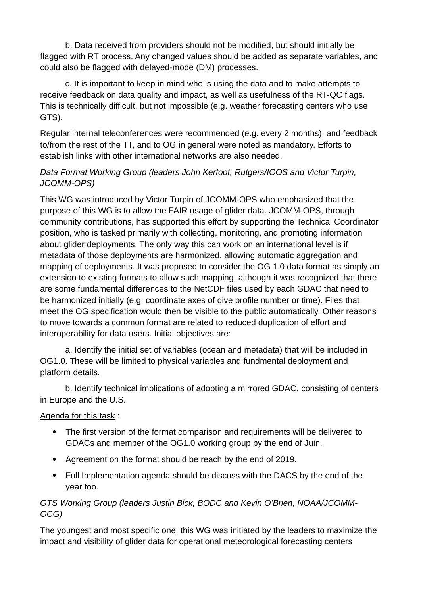b. Data received from providers should not be modified, but should initially be flagged with RT process. Any changed values should be added as separate variables, and could also be flagged with delayed-mode (DM) processes.

c. It is important to keep in mind who is using the data and to make attempts to receive feedback on data quality and impact, as well as usefulness of the RT-QC flags. This is technically difficult, but not impossible (e.g. weather forecasting centers who use GTS).

Regular internal teleconferences were recommended (e.g. every 2 months), and feedback to/from the rest of the TT, and to OG in general were noted as mandatory. Efforts to establish links with other international networks are also needed.

### *Data Format Working Group (leaders John Kerfoot, Rutgers/IOOS and Victor Turpin, JCOMM-OPS)*

This WG was introduced by Victor Turpin of JCOMM-OPS who emphasized that the purpose of this WG is to allow the FAIR usage of glider data. JCOMM-OPS, through community contributions, has supported this effort by supporting the Technical Coordinator position, who is tasked primarily with collecting, monitoring, and promoting information about glider deployments. The only way this can work on an international level is if metadata of those deployments are harmonized, allowing automatic aggregation and mapping of deployments. It was proposed to consider the OG 1.0 data format as simply an extension to existing formats to allow such mapping, although it was recognized that there are some fundamental differences to the NetCDF files used by each GDAC that need to be harmonized initially (e.g. coordinate axes of dive profile number or time). Files that meet the OG specification would then be visible to the public automatically. Other reasons to move towards a common format are related to reduced duplication of effort and interoperability for data users. Initial objectives are:

a. Identify the initial set of variables (ocean and metadata) that will be included in OG1.0. These will be limited to physical variables and fundmental deployment and platform details.

b. Identify technical implications of adopting a mirrored GDAC, consisting of centers in Europe and the U.S.

#### Agenda for this task :

- The first version of the format comparison and requirements will be delivered to GDACs and member of the OG1.0 working group by the end of Juin.
- Agreement on the format should be reach by the end of 2019.
- Full Implementation agenda should be discuss with the DACS by the end of the year too.

## *GTS Working Group (leaders Justin Bick, BODC and Kevin O'Brien, NOAA/JCOMM-OCG)*

The youngest and most specific one, this WG was initiated by the leaders to maximize the impact and visibility of glider data for operational meteorological forecasting centers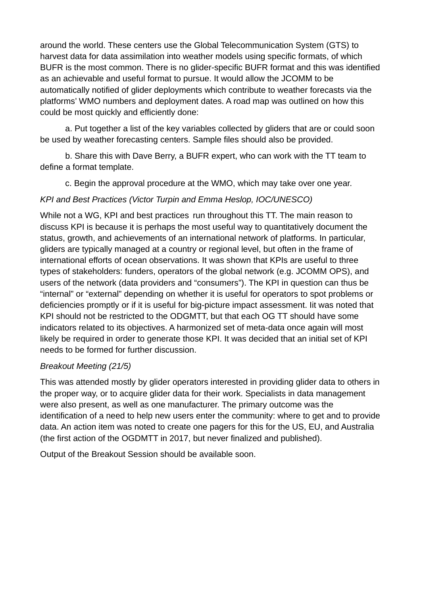around the world. These centers use the Global Telecommunication System (GTS) to harvest data for data assimilation into weather models using specific formats, of which BUFR is the most common. There is no glider-specific BUFR format and this was identified as an achievable and useful format to pursue. It would allow the JCOMM to be automatically notified of glider deployments which contribute to weather forecasts via the platforms' WMO numbers and deployment dates. A road map was outlined on how this could be most quickly and efficiently done:

a. Put together a list of the key variables collected by gliders that are or could soon be used by weather forecasting centers. Sample files should also be provided.

b. Share this with Dave Berry, a BUFR expert, who can work with the TT team to define a format template.

c. Begin the approval procedure at the WMO, which may take over one year.

## *KPI and Best Practices (Victor Turpin and Emma Heslop, IOC/UNESCO)*

While not a WG, KPI and best practices run throughout this TT. The main reason to discuss KPI is because it is perhaps the most useful way to quantitatively document the status, growth, and achievements of an international network of platforms. In particular, gliders are typically managed at a country or regional level, but often in the frame of international efforts of ocean observations. It was shown that KPIs are useful to three types of stakeholders: funders, operators of the global network (e.g. JCOMM OPS), and users of the network (data providers and "consumers"). The KPI in question can thus be "internal" or "external" depending on whether it is useful for operators to spot problems or deficiencies promptly or if it is useful for big-picture impact assessment. Iit was noted that KPI should not be restricted to the ODGMTT, but that each OG TT should have some indicators related to its objectives. A harmonized set of meta-data once again will most likely be required in order to generate those KPI. It was decided that an initial set of KPI needs to be formed for further discussion.

## *Breakout Meeting (21/5)*

This was attended mostly by glider operators interested in providing glider data to others in the proper way, or to acquire glider data for their work. Specialists in data management were also present, as well as one manufacturer. The primary outcome was the identification of a need to help new users enter the community: where to get and to provide data. An action item was noted to create one pagers for this for the US, EU, and Australia (the first action of the OGDMTT in 2017, but never finalized and published).

Output of the Breakout Session should be available soon.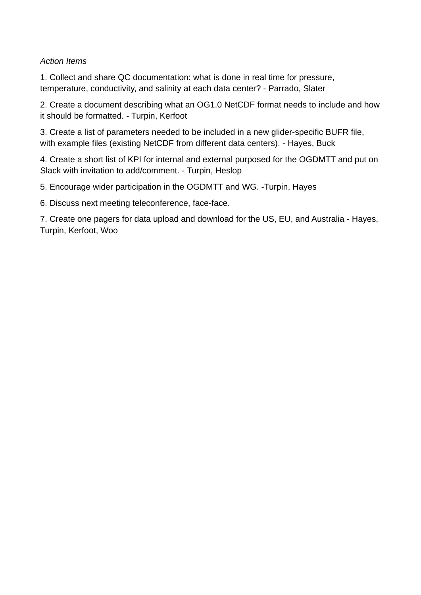#### *Action Items*

1. Collect and share QC documentation: what is done in real time for pressure, temperature, conductivity, and salinity at each data center? - Parrado, Slater

2. Create a document describing what an OG1.0 NetCDF format needs to include and how it should be formatted. - Turpin, Kerfoot

3. Create a list of parameters needed to be included in a new glider-specific BUFR file, with example files (existing NetCDF from different data centers). - Hayes, Buck

4. Create a short list of KPI for internal and external purposed for the OGDMTT and put on Slack with invitation to add/comment. - Turpin, Heslop

5. Encourage wider participation in the OGDMTT and WG. -Turpin, Hayes

6. Discuss next meeting teleconference, face-face.

7. Create one pagers for data upload and download for the US, EU, and Australia - Hayes, Turpin, Kerfoot, Woo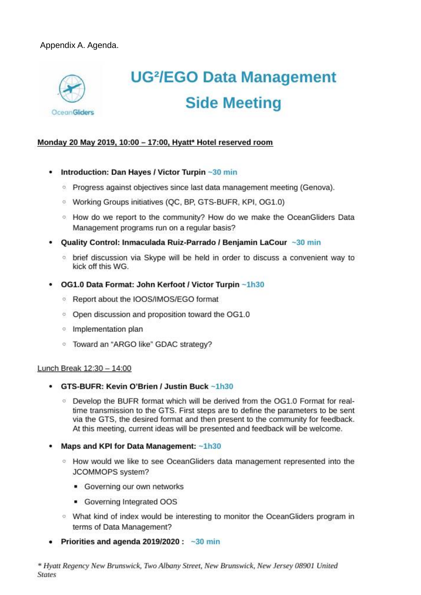

# **UG<sup>2</sup>/EGO Data Management Side Meeting**

#### Monday 20 May 2019, 10:00 - 17:00, Hyatt\* Hotel reserved room

- Introduction: Dan Hayes / Victor Turpin ~30 min ٠
	- <sup>o</sup> Progress against objectives since last data management meeting (Genova).
	- <sup>o</sup> Working Groups initiatives (OC, BP, GTS-BUFR, KPI, OG1.0)
	- <sup>o</sup> How do we report to the community? How do we make the OceanGliders Data Management programs run on a regular basis?
- Quality Control: Inmaculada Ruiz-Parrado / Benjamin LaCour ~30 min
	- <sup>o</sup> brief discussion via Skype will be held in order to discuss a convenient way to kick off this WG.
- OG1.0 Data Format: John Kerfoot / Victor Turpin ~1h30
	- <sup>o</sup> Report about the IOOS/IMOS/EGO format
	- <sup>o</sup> Open discussion and proposition toward the OG1.0
	- <sup>o</sup> Implementation plan
	- <sup>o</sup> Toward an "ARGO like" GDAC strategy?

#### Lunch Break 12:30 - 14:00

- GTS-BUFR: Kevin O'Brien / Justin Buck ~1h30
	- <sup>o</sup> Develop the BUFR format which will be derived from the OG1.0 Format for realtime transmission to the GTS. First steps are to define the parameters to be sent via the GTS, the desired format and then present to the community for feedback. At this meeting, current ideas will be presented and feedback will be welcome.
- Maps and KPI for Data Management: ~1h30
	- <sup>o</sup> How would we like to see OceanGliders data management represented into the JCOMMOPS system?
		- Governing our own networks
		- Governing Integrated OOS
	- What kind of index would be interesting to monitor the OceanGliders program in terms of Data Management?
- Priorities and agenda  $2019/2020: -30$  min

\* Hyatt Regency New Brunswick, Two Albany Street, New Brunswick, New Jersey 08901 United **States**